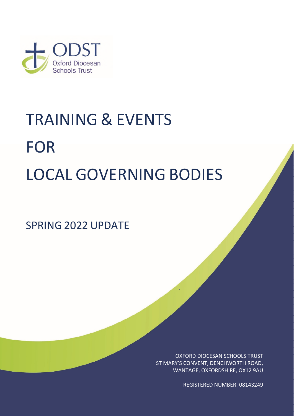

# TRAINING & EVENTS FOR LOCAL GOVERNING BODIES

SPRING 2022 UPDATE

OXFORD DIOCESAN SCHOOLS TRUST ST MARY'S CONVENT, DENCHWORTH ROAD, WANTAGE, OXFORDSHIRE, OX12 9AU

REGISTERED NUMBER: 08143249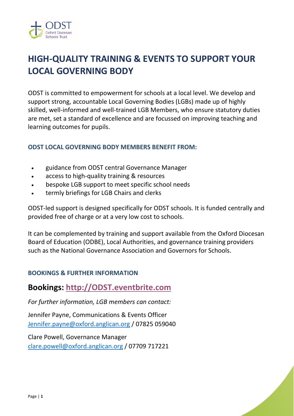

# **HIGH-QUALITY TRAINING & EVENTS TO SUPPORT YOUR LOCAL GOVERNING BODY**

ODST is committed to empowerment for schools at a local level. We develop and support strong, accountable Local Governing Bodies (LGBs) made up of highly skilled, well-informed and well-trained LGB Members, who ensure statutory duties are met, set a standard of excellence and are focussed on improving teaching and learning outcomes for pupils.

#### **ODST LOCAL GOVERNING BODY MEMBERS BENEFIT FROM:**

- guidance from ODST central Governance Manager
- access to high-quality training & resources
- bespoke LGB support to meet specific school needs
- termly briefings for LGB Chairs and clerks

ODST-led support is designed specifically for ODST schools. It is funded centrally and provided free of charge or at a very low cost to schools.

It can be complemented by training and support available from the Oxford Diocesan Board of Education (ODBE), Local Authorities, and governance training providers such as the National Governance Association and Governors for Schools.

#### **BOOKINGS & FURTHER INFORMATION**

**Bookings: [http://ODST.eventbrite.com](http://odst.eventbrite.com/)** 

*For further information, LGB members can contact:* 

Jennifer Payne, Communications & Events Officer [Jennifer.payne@oxford.anglican.org](mailto:Jennifer.payne@oxford.anglican.org) / 07825 059040

Clare Powell, Governance Manager [clare.powell@oxford.anglican.org](mailto:clare.powell@oxford.anglican.org) / 07709 717221

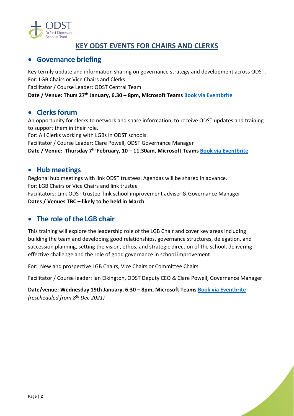

# **KEY ODST EVENTS FOR CHAIRS AND CLERKS**

#### **Governance briefing**

Key termly update and information sharing on governance strategy and development across ODST. For: LGB Chairs or Vice Chairs and Clerks Facilitator / Course Leader: ODST Central Team **Date / Venue: Thurs 27th January, 6.30 – 8pm, Microsoft Teams [Book via Eventbrite](http://odst.eventbrite.com/)**

#### **Clerks forum**

An opportunity for clerks to network and share information, to receive ODST updates and training to support them in their role.

For: All Clerks working with LGBs in ODST schools.

Facilitator / Course Leader: Clare Powell, ODST Governance Manager

**Date / Venue: Thursday 7th February, 10 – 11.30am, Microsoft Teams [Book via Eventbrite](http://odst.eventbrite.com/)**

#### **Hub meetings**

Regional hub meetings with link ODST trustees. Agendas will be shared in advance. For: LGB Chairs or Vice Chairs and link trustee Facilitators: Link ODST trustee, link school improvement adviser & Governance Manager **Dates / Venues TBC – likely to be held in March**

# **The role of the LGB chair**

This training will explore the leadership role of the LGB Chair and cover key areas including building the team and developing good relationships, governance structures, delegation, and succession planning, setting the vision, ethos, and strategic direction of the school, delivering effective challenge and the role of good governance in school improvement.

For: New and prospective LGB Chairs, Vice Chairs or Committee Chairs.

Facilitator / Course leader: Ian Elkington, ODST Deputy CEO & Clare Powell, Governance Manager

**Date/venue: Wednesday 19th January, 6.30 – 8pm, Microsoft Team[s Book via Eventbrite](http://odst.eventbrite.com/)** *(rescheduled from 8th Dec 2021)*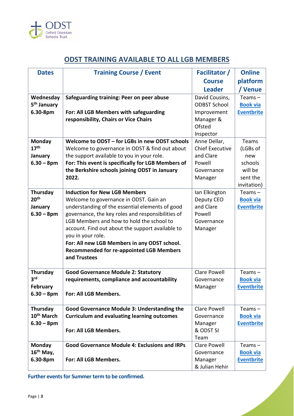

# **ODST TRAINING AVAILABLE TO ALL LGB MEMBERS**

| <b>Dates</b>            | <b>Training Course / Event</b>                                                                  | <b>Facilitator</b> /   | <b>Online</b>     |
|-------------------------|-------------------------------------------------------------------------------------------------|------------------------|-------------------|
|                         |                                                                                                 | <b>Course</b>          | platform          |
|                         |                                                                                                 | <b>Leader</b>          | / Venue           |
| Wednesday               | Safeguarding training: Peer on peer abuse                                                       | David Cousins,         | Teams $-$         |
| 5 <sup>th</sup> January |                                                                                                 | <b>ODBST School</b>    | <b>Book via</b>   |
| 6.30-8pm                | For: All LGB Members with safeguarding                                                          | Improvement            | <b>Eventbrite</b> |
|                         | responsibility, Chairs or Vice Chairs                                                           | Manager &              |                   |
|                         |                                                                                                 | Ofsted                 |                   |
|                         |                                                                                                 | Inspector              |                   |
| Monday                  | Welcome to ODST - for LGBs in new ODST schools                                                  | Anne Dellar,           | Teams             |
| 17 <sup>th</sup>        | Welcome to governance in ODST & find out about                                                  | <b>Chief Executive</b> | (LGBs of          |
| January                 | the support available to you in your role.                                                      | and Clare              | new               |
| $6.30 - 8pm$            | For: This event is specifically for LGB Members of                                              | Powell                 | schools           |
|                         | the Berkshire schools joining ODST in January                                                   | Governance             | will be           |
|                         | 2022.                                                                                           | Manager                | sent the          |
|                         |                                                                                                 |                        | invitation)       |
| Thursday                | <b>Induction for New LGB Members</b>                                                            | Ian Elkington          | Teams $-$         |
| 20 <sup>th</sup>        | Welcome to governance in ODST. Gain an                                                          | Deputy CEO             | <b>Book via</b>   |
| January                 | understanding of the essential elements of good                                                 | and Clare              | <b>Eventbrite</b> |
| $6.30 - 8pm$            | governance, the key roles and responsibilities of                                               | Powell                 |                   |
|                         | LGB Members and how to hold the school to                                                       | Governance             |                   |
|                         | account. Find out about the support available to                                                | Manager                |                   |
|                         | you in your role.                                                                               |                        |                   |
|                         | For: All new LGB Members in any ODST school.<br><b>Recommended for re-appointed LGB Members</b> |                        |                   |
|                         | and Trustees                                                                                    |                        |                   |
|                         |                                                                                                 |                        |                   |
| Thursday                | <b>Good Governance Module 2: Statutory</b>                                                      | <b>Clare Powell</b>    | Teams $-$         |
| 3 <sup>rd</sup>         | requirements, compliance and accountability                                                     | Governance             | <b>Book via</b>   |
| February                |                                                                                                 | Manager                | <b>Eventbrite</b> |
| $6.30 - 8pm$            | For: All LGB Members.                                                                           |                        |                   |
|                         |                                                                                                 |                        |                   |
| Thursday                | <b>Good Governance Module 3: Understanding the</b>                                              | <b>Clare Powell</b>    | Teams $-$         |
| 10 <sup>th</sup> March  | <b>Curriculum and evaluating learning outcomes</b>                                              | Governance             | <b>Book via</b>   |
| $6.30 - 8pm$            |                                                                                                 | Manager                | <b>Eventbrite</b> |
|                         | For: All LGB Members.                                                                           | & ODST SI              |                   |
|                         |                                                                                                 | Team                   |                   |
| <b>Monday</b>           | <b>Good Governance Module 4: Exclusions and IRPs</b>                                            | <b>Clare Powell</b>    | Teams $-$         |
| 16 <sup>th</sup> May,   |                                                                                                 | Governance             | <b>Book via</b>   |
| 6.30-8pm                | For: All LGB Members.                                                                           | Manager                | <b>Eventbrite</b> |
|                         |                                                                                                 | & Julian Hehir         |                   |

**Further events for Summer term to be confirmed.**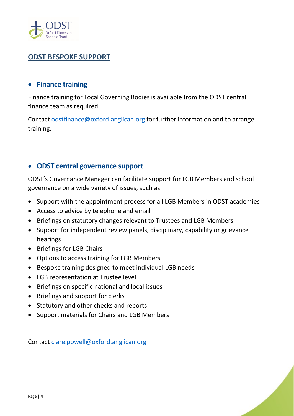

# **ODST BESPOKE SUPPORT**

#### **Finance training**

Finance training for Local Governing Bodies is available from the ODST central finance team as required.

Contact [odstfinance@oxford.anglican.org](mailto:odstfinance@oxford.anglican.org) for further information and to arrange training.

#### **ODST central governance support**

ODST's Governance Manager can facilitate support for LGB Members and school governance on a wide variety of issues, such as:

- Support with the appointment process for all LGB Members in ODST academies
- Access to advice by telephone and email
- Briefings on statutory changes relevant to Trustees and LGB Members
- Support for independent review panels, disciplinary, capability or grievance hearings
- Briefings for LGB Chairs
- Options to access training for LGB Members
- Bespoke training designed to meet individual LGB needs
- LGB representation at Trustee level
- Briefings on specific national and local issues
- Briefings and support for clerks
- Statutory and other checks and reports
- Support materials for Chairs and LGB Members

Contact [clare.powell@oxford.anglican.org](mailto:clare.powell@oxford.anglican.org)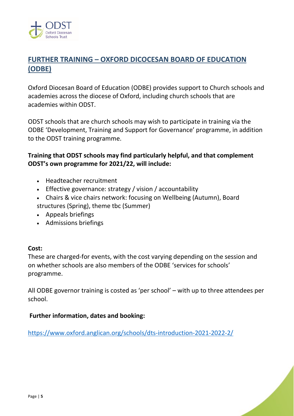

# **FURTHER TRAINING – OXFORD DICOCESAN BOARD OF EDUCATION (ODBE)**

Oxford Diocesan Board of Education (ODBE) provides support to Church schools and academies across the diocese of Oxford, including church schools that are academies within ODST.

ODST schools that are church schools may wish to participate in training via the ODBE 'Development, Training and Support for Governance' programme, in addition to the ODST training programme.

#### **Training that ODST schools may find particularly helpful, and that complement ODST's own programme for 2021/22, will include:**

- Headteacher recruitment
- Effective governance: strategy / vision / accountability
- Chairs & vice chairs network: focusing on Wellbeing (Autumn), Board
- structures (Spring), theme tbc (Summer)
- Appeals briefings
- Admissions briefings

#### **Cost:**

These are charged-for events, with the cost varying depending on the session and on whether schools are also members of the ODBE 'services for schools' programme.

All ODBE governor training is costed as 'per school' – with up to three attendees per school.

#### **Further information, dates and booking:**

<https://www.oxford.anglican.org/schools/dts-introduction-2021-2022-2/>